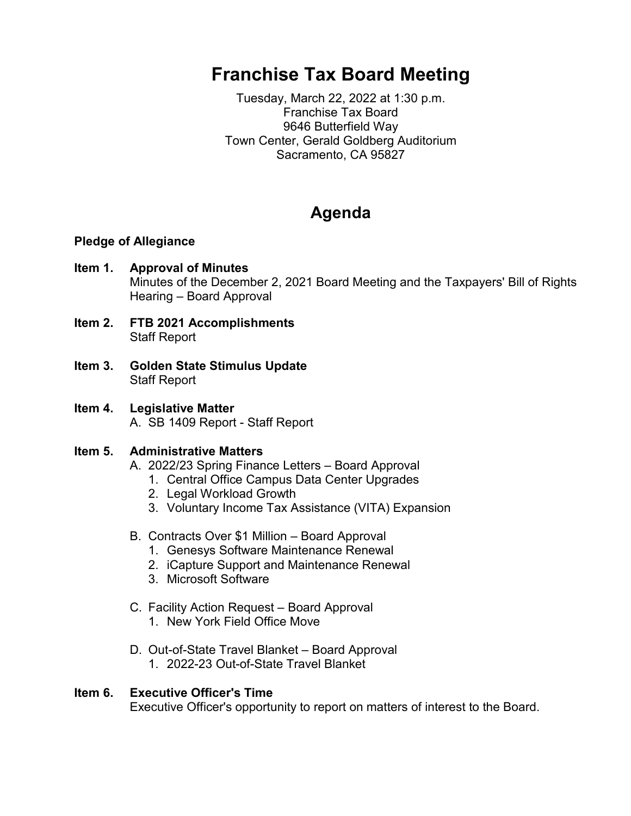# **Franchise Tax Board Meeting**

Tuesday, March 22, 2022 at 1:30 p.m. Franchise Tax Board 9646 Butterfield Way Town Center, Gerald Goldberg Auditorium Sacramento, CA 95827

# **Agenda**

### **Pledge of Allegiance**

- **Item 1. Approval of Minutes** Minutes of the December 2, 2021 Board Meeting and the Taxpayers' Bill of Rights Hearing – Board Approval
- **Item 2. FTB 2021 Accomplishments**  Staff Report
- **Item 3. Golden State Stimulus Update** Staff Report
- **Item 4. Legislative Matter** A. SB 1409 Report - Staff Report

# **Item 5. Administrative Matters**

- A. 2022/23 Spring Finance Letters Board Approval
	- 1. Central Office Campus Data Center Upgrades
	- 2. Legal Workload Growth
	- 3. Voluntary Income Tax Assistance (VITA) Expansion
- B. Contracts Over \$1 Million Board Approval
	- 1. Genesys Software Maintenance Renewal
	- 2. iCapture Support and Maintenance Renewal
	- 3. Microsoft Software
- C. Facility Action Request Board Approval
	- 1. New York Field Office Move
- D. Out-of-State Travel Blanket Board Approval 1. 2022-23 Out-of-State Travel Blanket

#### **Item 6. Executive Officer's Time** Executive Officer's opportunity to report on matters of interest to the Board.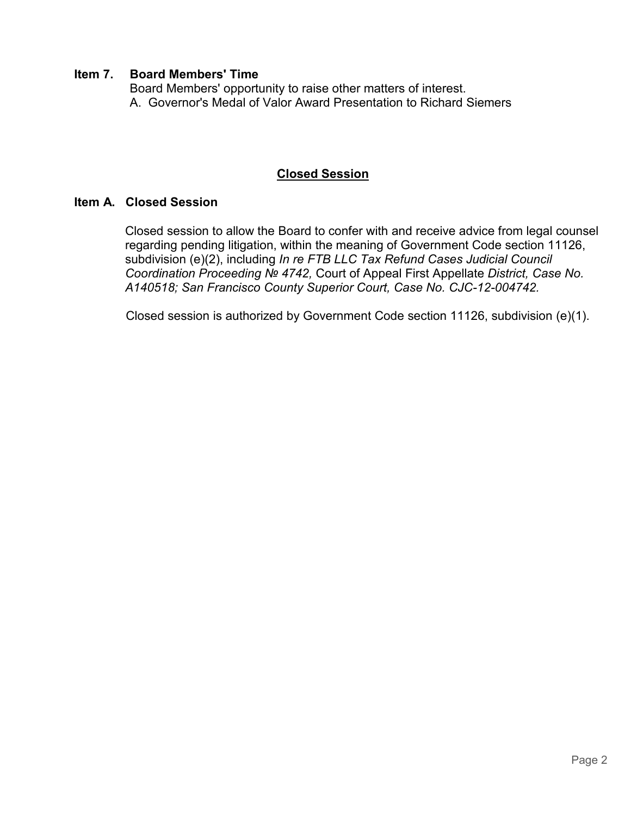# **Item 7. Board Members' Time**

Board Members' opportunity to raise other matters of interest. A. Governor's Medal of Valor Award Presentation to Richard Siemers

# **Closed Session**

# **Item A. Closed Session**

 Closed session to allow the Board to confer with and receive advice from legal counsel regarding pending litigation, within the meaning of Government Code section 11126, subdivision (e)(2), including *In re FTB LLC Tax Refund Cases Judicial Council Coordination Proceeding № 4742,* Court of Appeal First Appellate *District, Case No. A140518; San Francisco County Superior Court, Case No. CJC-12-004742.*

Closed session is authorized by Government Code section 11126, subdivision (e)(1).